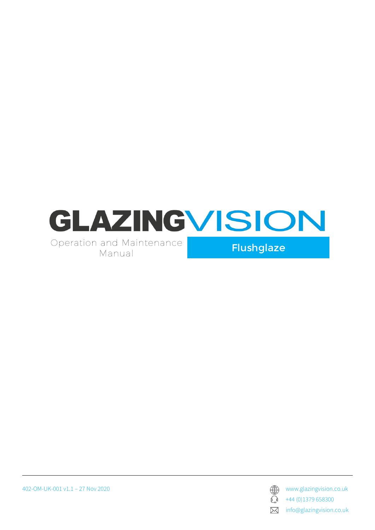

402-OM-UK-001 v1.1 – 27 Nov 2020 www.glazingvision.co.uk



 $\bigodot$  +44 (0)1379 658300

**X** info@glazingvision.co.uk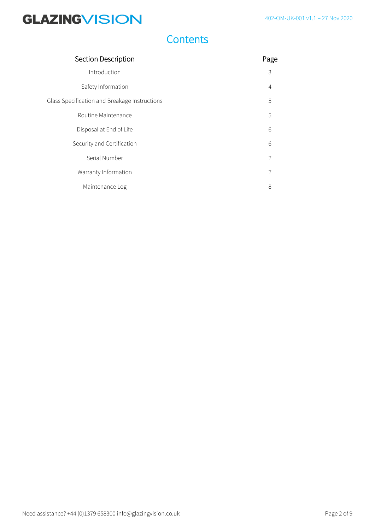### **Contents**

| <b>Section Description</b>                    |       |
|-----------------------------------------------|-------|
| Introduction                                  | 3     |
| Safety Information                            | 4     |
| Glass Specification and Breakage Instructions | 5     |
| Routine Maintenance                           | 5     |
| Disposal at End of Life                       | $6\,$ |
| Security and Certification                    | 6     |
| Serial Number                                 | 7     |
| Warranty Information                          |       |
| Maintenance Log                               | 8     |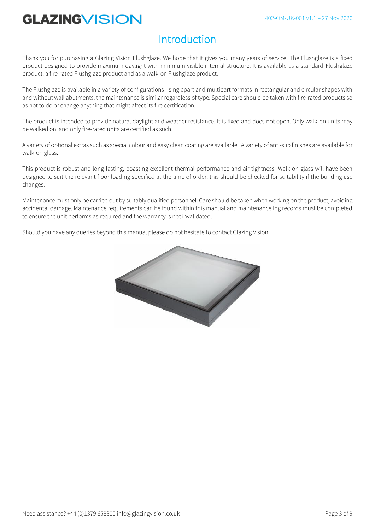### **Introduction**

Thank you for purchasing a Glazing Vision Flushglaze. We hope that it gives you many years of service. The Flushglaze is a fixed product designed to provide maximum daylight with minimum visible internal structure. It is available as a standard Flushglaze product, a fire-rated Flushglaze product and as a walk-on Flushglaze product.

The Flushglaze is available in a variety of configurations - singlepart and multipart formats in rectangular and circular shapes with and without wall abutments, the maintenance is similar regardless of type. Special care should be taken with fire-rated products so as not to do or change anything that might affect its fire certification.

The product is intended to provide natural daylight and weather resistance. It is fixed and does not open. Only walk-on units may be walked on, and only fire-rated units are certified as such.

A variety of optional extras such as special colour and easy clean coating are available. A variety of anti-slip finishes are available for walk-on glass.

This product is robust and long-lasting, boasting excellent thermal performance and air tightness. Walk-on glass will have been designed to suit the relevant floor loading specified at the time of order, this should be checked for suitability if the building use changes.

Maintenance must only be carried out by suitably qualified personnel. Care should be taken when working on the product, avoiding accidental damage. Maintenance requirements can be found within this manual and maintenance log records must be completed to ensure the unit performs as required and the warranty is not invalidated.

Should you have any queries beyond this manual please do not hesitate to contact Glazing Vision.

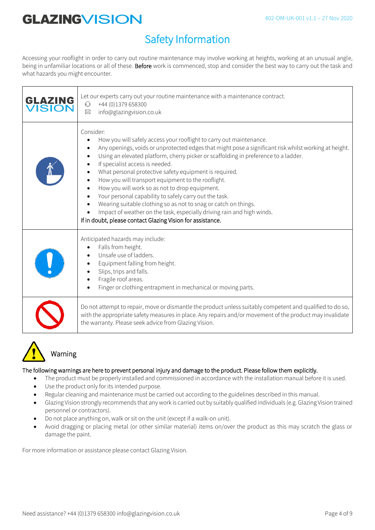## Safety Information

Accessing your rooflight in order to carry out routine maintenance may involve working at heights, working at an unusual angle, being in unfamiliar locations or all of these. Before work is commenced, stop and consider the best way to carry out the task and what hazards you might encounter.

| <b>GLAZING</b><br><b>VISION</b> | Let our experts carry out your routine maintenance with a maintenance contract.<br>$\mathbb{C}$<br>+44 (0)1379 658300<br>info@glazingvision.co.uk<br>$\times$                                                                                                                                                                                                                                                                                                                                                                                                                                                                                                                                                                                              |
|---------------------------------|------------------------------------------------------------------------------------------------------------------------------------------------------------------------------------------------------------------------------------------------------------------------------------------------------------------------------------------------------------------------------------------------------------------------------------------------------------------------------------------------------------------------------------------------------------------------------------------------------------------------------------------------------------------------------------------------------------------------------------------------------------|
|                                 | Consider:<br>How you will safely access your rooflight to carry out maintenance.<br>Any openings, voids or unprotected edges that might pose a significant risk whilst working at height.<br>Using an elevated platform, cherry picker or scaffolding in preference to a ladder.<br>If specialist access is needed.<br>What personal protective safety equipment is required.<br>How you will transport equipment to the rooflight.<br>How you will work so as not to drop equipment.<br>Your personal capability to safely carry out the task.<br>Wearing suitable clothing so as not to snag or catch on things.<br>Impact of weather on the task, especially driving rain and high winds.<br>If in doubt, please contact Glazing Vision for assistance. |
|                                 | Anticipated hazards may include:<br>Falls from height.<br>Unsafe use of ladders.<br>Equipment falling from height.<br>Slips, trips and falls.<br>Fragile roof areas.<br>Finger or clothing entrapment in mechanical or moving parts.                                                                                                                                                                                                                                                                                                                                                                                                                                                                                                                       |
|                                 | Do not attempt to repair, move or dismantle the product unless suitably competent and qualified to do so,<br>with the appropriate safety measures in place. Any repairs and/or movement of the product may invalidate<br>the warranty. Please seek advice from Glazing Vision.                                                                                                                                                                                                                                                                                                                                                                                                                                                                             |



## Warning

#### The following warnings are here to prevent personal injury and damage to the product. Please follow them explicitly.

- The product must be properly installed and commissioned in accordance with the installation manual before it is used.
- Use the product only for its intended purpose.
- Regular cleaning and maintenance must be carried out according to the guidelines described in this manual.
- Glazing Vision strongly recommends that any work is carried out by suitably qualified individuals (e.g. Glazing Vision trained personnel or contractors).
- Do not place anything on, walk or sit on the unit (except if a walk-on unit).
- Avoid dragging or placing metal (or other similar material) items on/over the product as this may scratch the glass or damage the paint.

For more information or assistance please contact Glazing Vision.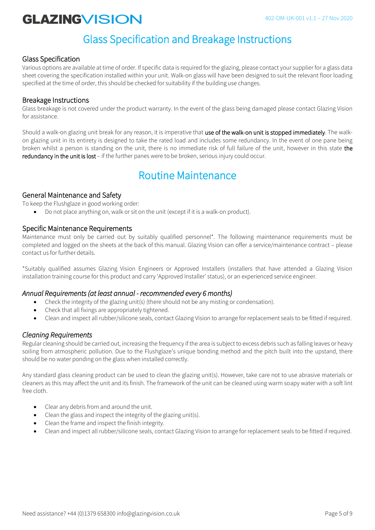### Glass Specification and Breakage Instructions

### Glass Specification

Various options are available at time of order. If specific data is required for the glazing, please contact your supplier for a glass data sheet covering the specification installed within your unit. Walk-on glass will have been designed to suit the relevant floor loading specified at the time of order, this should be checked for suitability if the building use changes.

#### Breakage Instructions

Glass breakage is not covered under the product warranty. In the event of the glass being damaged please contact Glazing Vision for assistance.

Should a walk-on glazing unit break for any reason, it is imperative that use of the walk-on unit is stopped immediately. The walkon glazing unit in its entirety is designed to take the rated load and includes some redundancy. In the event of one pane being broken whilst a person is standing on the unit, there is no immediate risk of full failure of the unit, however in this state the redundancy in the unit is lost - if the further panes were to be broken, serious injury could occur.

### Routine Maintenance

### General Maintenance and Safety

To keep the Flushglaze in good working order:

• Do not place anything on, walk or sit on the unit (except if it is a walk-on product).

#### Specific Maintenance Requirements

Maintenance must only be carried out by suitably qualified personnel\*. The following maintenance requirements must be completed and logged on the sheets at the back of this manual. Glazing Vision can offer a service/maintenance contract – please contact us for further details.

\*Suitably qualified assumes Glazing Vision Engineers or Approved Installers (installers that have attended a Glazing Vision installation training course for this product and carry 'Approved Installer' status), or an experienced service engineer.

#### *Annual Requirements (at least annual - recommended every 6 months)*

- Check the integrity of the glazing unit(s) (there should not be any misting or condensation).
- Check that all fixings are appropriately tightened.
- Clean and inspect all rubber/silicone seals, contact Glazing Vision to arrange for replacement seals to be fitted if required.

### *Cleaning Requirements*

Regular cleaning should be carried out, increasing the frequency if the area is subject to excess debris such as falling leaves or heavy soiling from atmospheric pollution. Due to the Flushglaze's unique bonding method and the pitch built into the upstand, there should be no water ponding on the glass when installed correctly.

Any standard glass cleaning product can be used to clean the glazing unit(s). However, take care not to use abrasive materials or cleaners as this may affect the unit and its finish. The framework of the unit can be cleaned using warm soapy water with a soft lint free cloth.

- Clear any debris from and around the unit.
- Clean the glass and inspect the integrity of the glazing unit(s).
- Clean the frame and inspect the finish integrity.
- Clean and inspect all rubber/silicone seals, contact Glazing Vision to arrange for replacement seals to be fitted if required.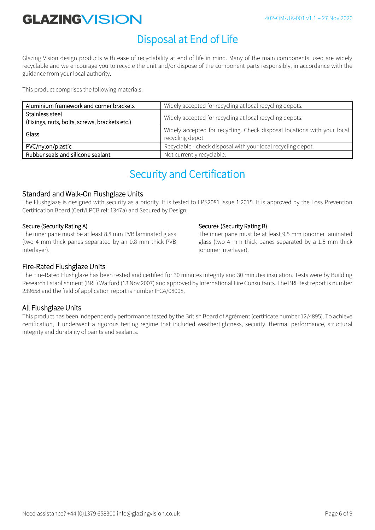## Disposal at End of Life

Glazing Vision design products with ease of recyclability at end of life in mind. Many of the main components used are widely recyclable and we encourage you to recycle the unit and/or dispose of the component parts responsibly, in accordance with the guidance from your local authority.

This product comprises the following materials:

| Aluminium framework and corner brackets                          | Widely accepted for recycling at local recycling depots.                                    |
|------------------------------------------------------------------|---------------------------------------------------------------------------------------------|
| Stainless steel<br>(Fixings, nuts, bolts, screws, brackets etc.) | Widely accepted for recycling at local recycling depots.                                    |
| Glass                                                            | Widely accepted for recycling. Check disposal locations with your local<br>recycling depot. |
| PVC/nylon/plastic                                                | Recyclable - check disposal with your local recycling depot.                                |
| Rubber seals and silicone sealant                                | Not currently recyclable.                                                                   |

### Security and Certification

### Standard and Walk-On Flushglaze Units

The Flushglaze is designed with security as a priority. It is tested to LPS2081 Issue 1:2015. It is approved by the Loss Prevention Certification Board (Cert/LPCB ref: 1347a) and Secured by Design:

#### Secure (Security Rating A)

The inner pane must be at least 8.8 mm PVB laminated glass (two 4 mm thick panes separated by an 0.8 mm thick PVB interlayer).

#### Secure+ (Security Rating B)

The inner pane must be at least 9.5 mm ionomer laminated glass (two 4 mm thick panes separated by a 1.5 mm thick ionomer interlayer).

### Fire-Rated Flushglaze Units

The Fire-Rated Flushglaze has been tested and certified for 30 minutes integrity and 30 minutes insulation. Tests were by Building Research Establishment (BRE) Watford (13 Nov 2007) and approved by International Fire Consultants. The BRE test report is number 239658 and the field of application report is number IFCA/08008.

### All Flushglaze Units

This product has been independently performance tested by the British Board of Agrément (certificate number 12/4895). To achieve certification, it underwent a rigorous testing regime that included weathertightness, security, thermal performance, structural integrity and durability of paints and sealants.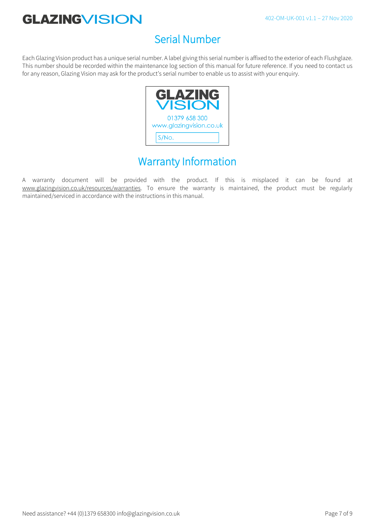## Serial Number

Each Glazing Vision product has a unique serial number. A label giving this serial number is affixed to the exterior of each Flushglaze. This number should be recorded within the maintenance log section of this manual for future reference. If you need to contact us for any reason, Glazing Vision may ask for the product's serial number to enable us to assist with your enquiry.



## Warranty Information

A warranty document will be provided with the product. If this is misplaced it can be found at www.glazingvision.co.uk/resources/warranties. To ensure the warranty is maintained, the product must be regularly maintained/serviced in accordance with the instructions in this manual.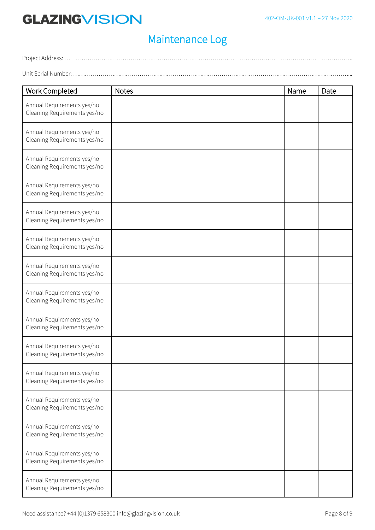### Maintenance Log

Project Address: …………………………………………………………………………………………………………………………………. Unit Serial Number: ……………………………………………………………………………………………………………………………...

| <b>Work Completed</b>                                      | <b>Notes</b> | Name | Date |
|------------------------------------------------------------|--------------|------|------|
| Annual Requirements yes/no<br>Cleaning Requirements yes/no |              |      |      |
| Annual Requirements yes/no<br>Cleaning Requirements yes/no |              |      |      |
| Annual Requirements yes/no<br>Cleaning Requirements yes/no |              |      |      |
| Annual Requirements yes/no<br>Cleaning Requirements yes/no |              |      |      |
| Annual Requirements yes/no<br>Cleaning Requirements yes/no |              |      |      |
| Annual Requirements yes/no<br>Cleaning Requirements yes/no |              |      |      |
| Annual Requirements yes/no<br>Cleaning Requirements yes/no |              |      |      |
| Annual Requirements yes/no<br>Cleaning Requirements yes/no |              |      |      |
| Annual Requirements yes/no<br>Cleaning Requirements yes/no |              |      |      |
| Annual Requirements yes/no<br>Cleaning Requirements yes/no |              |      |      |
| Annual Requirements yes/no<br>Cleaning Requirements yes/no |              |      |      |
| Annual Requirements yes/no<br>Cleaning Requirements yes/no |              |      |      |
| Annual Requirements yes/no<br>Cleaning Requirements yes/no |              |      |      |
| Annual Requirements yes/no<br>Cleaning Requirements yes/no |              |      |      |
| Annual Requirements yes/no<br>Cleaning Requirements yes/no |              |      |      |